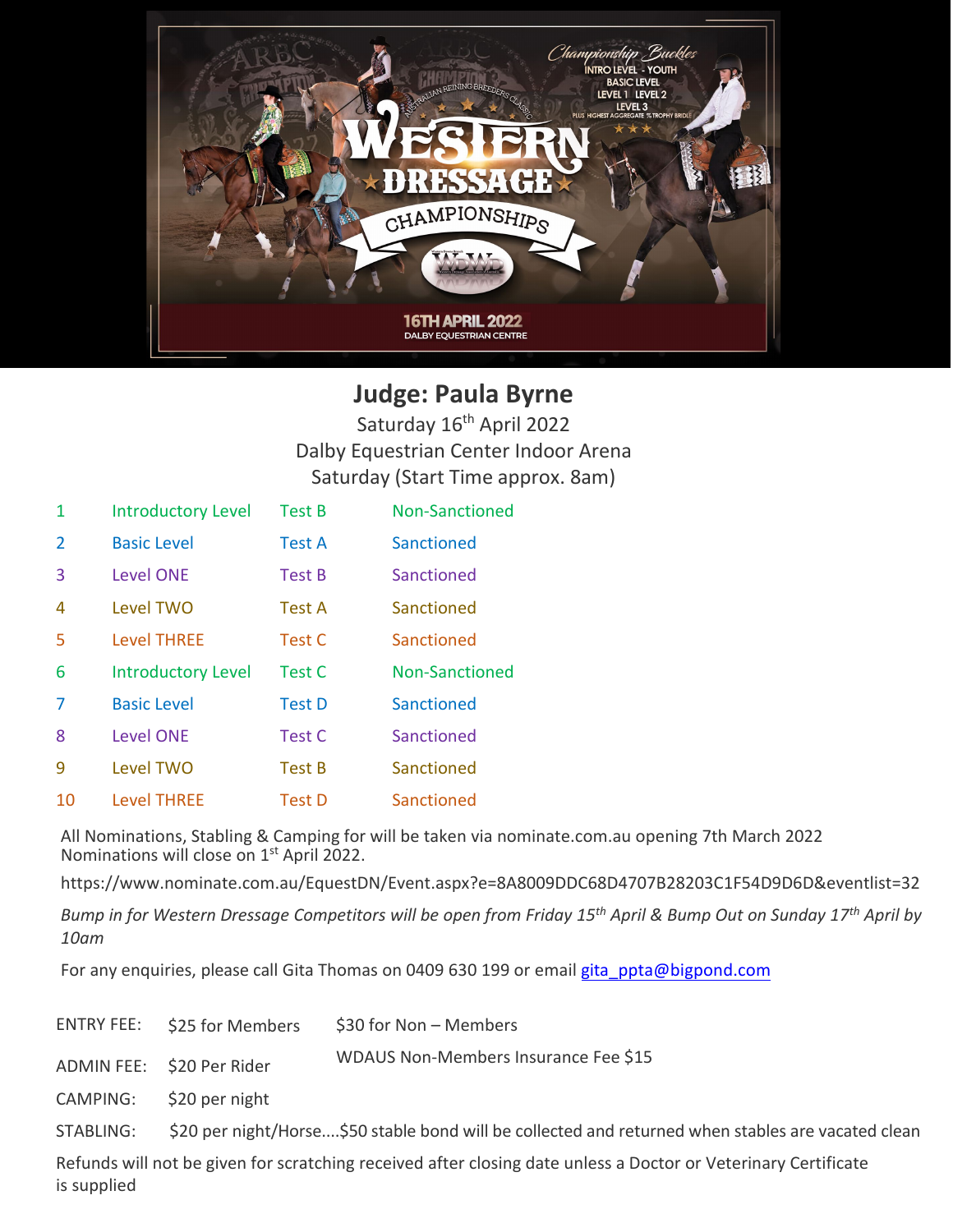

## **Judge: Paula Byrne**

Saturday 16<sup>th</sup> April 2022 Dalby Equestrian Center Indoor Arena Saturday (Start Time approx. 8am)

| 1 | <b>Introductory Level</b> | <b>Test B</b> | Non-Sanctioned |
|---|---------------------------|---------------|----------------|
| 2 | <b>Basic Level</b>        | <b>Test A</b> | Sanctioned     |
| 3 | <b>Level ONE</b>          | <b>Test B</b> | Sanctioned     |
| 4 | Level TWO                 | Test A        | Sanctioned     |
| 5 | <b>Level THREE</b>        | Test C        | Sanctioned     |
|   |                           |               |                |
| 6 | <b>Introductory Level</b> | Test C        | Non-Sanctioned |
| 7 | <b>Basic Level</b>        | <b>Test D</b> | Sanctioned     |
| 8 | <b>Level ONE</b>          | Test C        | Sanctioned     |
| ٩ | Level TWO                 | <b>Test B</b> | Sanctioned     |

All Nominations, Stabling & Camping for will be taken via nominate.com.au opening 7th March 2022 Nominations will close on 1<sup>st</sup> April 2022.

https://www.nominate.com.au/EquestDN/Event.aspx?e=8A8009DDC68D4707B28203C1F54D9D6D&eventlist=32

*Bump in for Western Dressage Competitors will be open from Friday 15th April & Bump Out on Sunday 17th April by 10am* 

For any enquiries, please call Gita Thomas on 0409 630 199 or email [gita\\_ppta@bigpond.com](mailto:gita_ppta@bigpond.com)

| ENTRY FEE: \$25 for Members | \$30 for Non – Members |
|-----------------------------|------------------------|
|                             |                        |

ADMIN FEE: \$20 Per Rider WDAUS Non-Members Insurance Fee \$15

CAMPING: \$20 per night

STABLING: \$20 per night/Horse....\$50 stable bond will be collected and returned when stables are vacated clean

Refunds will not be given for scratching received after closing date unless a Doctor or Veterinary Certificate is supplied